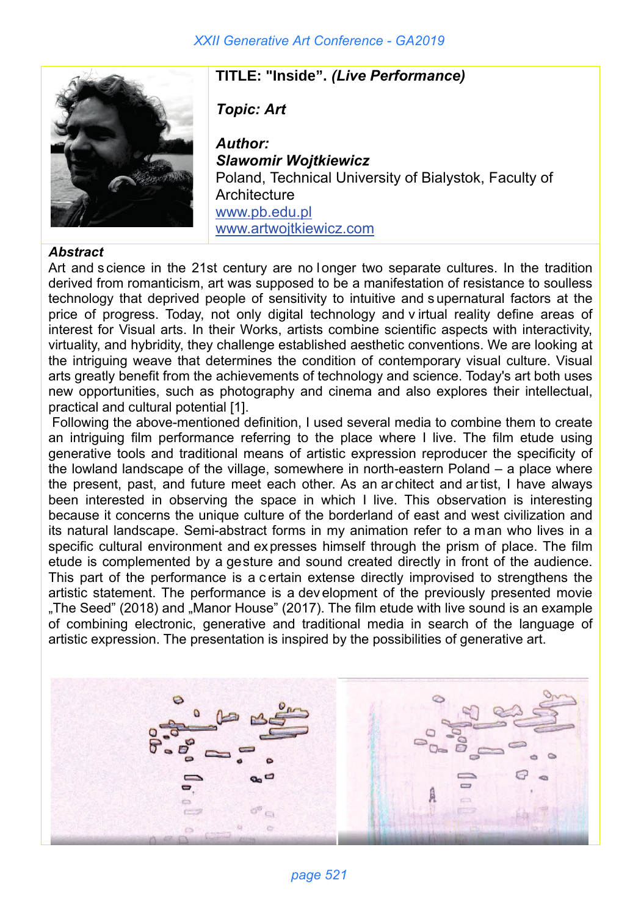

## **TITLE: "Inside".** *(Live Performance)*

*Topic: Art* 

*Author: Slawomir Wojtkiewicz* Poland, Technical University of Bialystok, Faculty of **Architecture** www.pb.edu.pl www.artwojtkiewicz.com

## *Abstract*

Art and s cience in the 21st century are no l onger two separate cultures. In the tradition derived from romanticism, art was supposed to be a manifestation of resistance to soulless technology that deprived people of sensitivity to intuitive and s upernatural factors at the price of progress. Today, not only digital technology and v irtual reality define areas of interest for Visual arts. In their Works, artists combine scientific aspects with interactivity, virtuality, and hybridity, they challenge established aesthetic conventions. We are looking at the intriguing weave that determines the condition of contemporary visual culture. Visual arts greatly benefit from the achievements of technology and science. Today's art both uses new opportunities, such as photography and cinema and also explores their intellectual, practical and cultural potential [1].

Following the above-mentioned definition, I used several media to combine them to create an intriguing film performance referring to the place where I live. The film etude using generative tools and traditional means of artistic expression reproducer the specificity of the lowland landscape of the village, somewhere in north-eastern Poland – a place where the present, past, and future meet each other. As an ar chitect and ar tist, I have always been interested in observing the space in which I live. This observation is interesting because it concerns the unique culture of the borderland of east and west civilization and its natural landscape. Semi-abstract forms in my animation refer to a man who lives in a specific cultural environment and expresses himself through the prism of place. The film etude is complemented by a gesture and sound created directly in front of the audience. This part of the performance is a c ertain extense directly improvised to strengthens the artistic statement. The performance is a dev elopment of the previously presented movie "The Seed" (2018) and "Manor House" (2017). The film etude with live sound is an example of combining electronic, generative and traditional media in search of the language of artistic expression. The presentation is inspired by the possibilities of generative art.